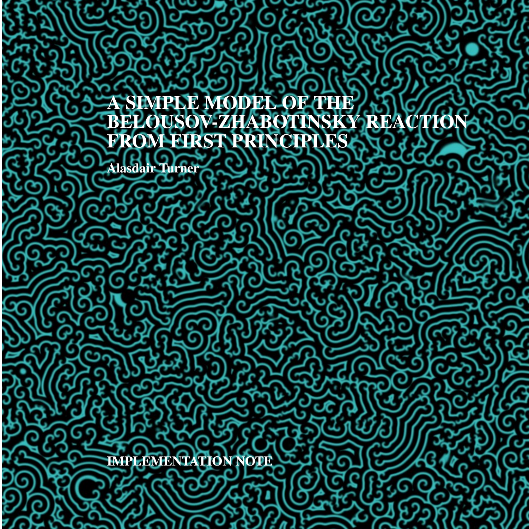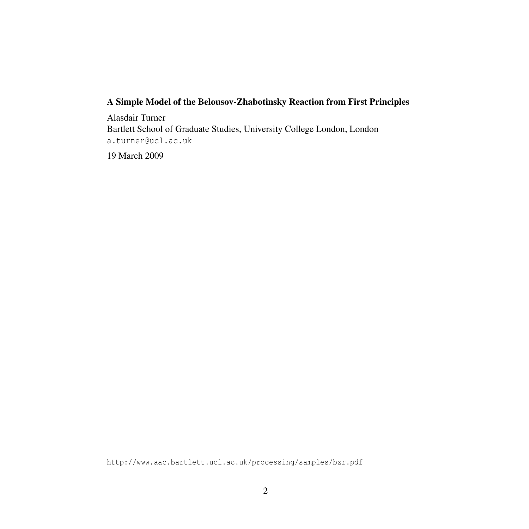#### A Simple Model of the Belousov-Zhabotinsky Reaction from First Principles

Alasdair Turner Bartlett School of Graduate Studies, University College London, London [a.turner@ucl.ac.uk](mailto:a.turner@ucl.ac.uk)

19 March 2009

<http://www.aac.bartlett.ucl.ac.uk/processing/samples/bzr.pdf>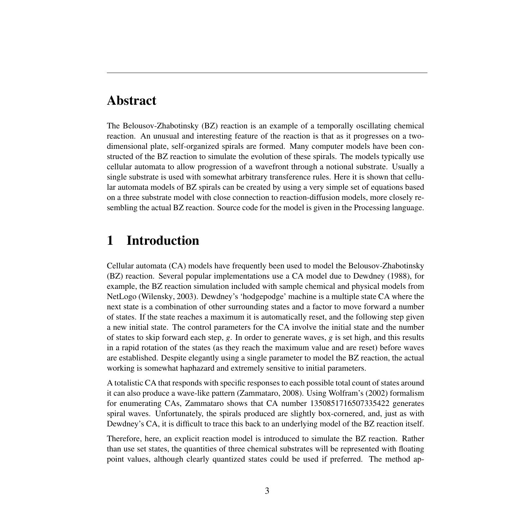# Abstract

The Belousov-Zhabotinsky (BZ) reaction is an example of a temporally oscillating chemical reaction. An unusual and interesting feature of the reaction is that as it progresses on a twodimensional plate, self-organized spirals are formed. Many computer models have been constructed of the BZ reaction to simulate the evolution of these spirals. The models typically use cellular automata to allow progression of a wavefront through a notional substrate. Usually a single substrate is used with somewhat arbitrary transference rules. Here it is shown that cellular automata models of BZ spirals can be created by using a very simple set of equations based on a three substrate model with close connection to reaction-diffusion models, more closely resembling the actual BZ reaction. Source code for the model is given in the Processing language.

### 1 Introduction

Cellular automata (CA) models have frequently been used to model the Belousov-Zhabotinsky (BZ) reaction. Several popular implementations use a CA model due to [Dewdney](#page-7-0) [\(1988\)](#page-7-0), for example, the BZ reaction simulation included with sample chemical and physical models from NetLogo [\(Wilensky,](#page-7-1) [2003\)](#page-7-1). [Dewdney'](#page-7-0)s 'hodgepodge' machine is a multiple state CA where the next state is a combination of other surrounding states and a factor to move forward a number of states. If the state reaches a maximum it is automatically reset, and the following step given a new initial state. The control parameters for the CA involve the initial state and the number of states to skip forward each step, *g*. In order to generate waves, *g* is set high, and this results in a rapid rotation of the states (as they reach the maximum value and are reset) before waves are established. Despite elegantly using a single parameter to model the BZ reaction, the actual working is somewhat haphazard and extremely sensitive to initial parameters.

A totalistic CA that responds with specific responses to each possible total count of states around it can also produce a wave-like pattern [\(Zammataro,](#page-7-2) [2008\)](#page-7-2). Using [Wolfram'](#page-7-3)s [\(2002\)](#page-7-3) formalism for enumerating CAs, [Zammataro](#page-7-2) shows that CA number 1350851716507335422 generates spiral waves. Unfortunately, the spirals produced are slightly box-cornered, and, just as with [Dewdney'](#page-7-0)s CA, it is difficult to trace this back to an underlying model of the BZ reaction itself.

Therefore, here, an explicit reaction model is introduced to simulate the BZ reaction. Rather than use set states, the quantities of three chemical substrates will be represented with floating point values, although clearly quantized states could be used if preferred. The method ap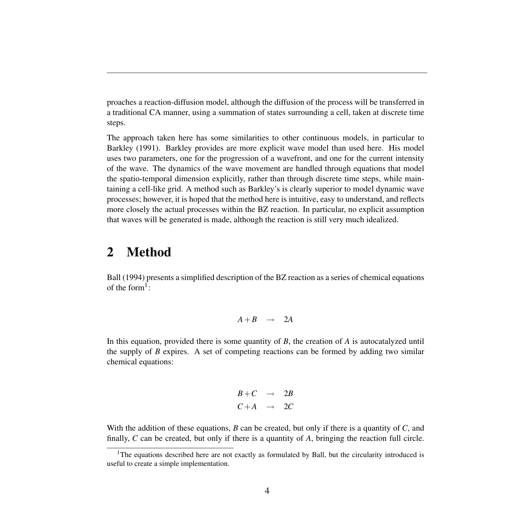proaches a reaction-diffusion model, although the diffusion of the process will be transferred in a traditional CA manner, using a summation of states surrounding a cell, taken at discrete time steps.

The approach taken here has some similarities to other continuous models, in particular to [Barkley](#page-7-4) [\(1991\)](#page-7-4). [Barkley](#page-7-4) provides are more explicit wave model than used here. His model uses two parameters, one for the progression of a wavefront, and one for the current intensity of the wave. The dynamics of the wave movement are handled through equations that model the spatio-temporal dimension explicitly, rather than through discrete time steps, while maintaining a cell-like grid. A method such as [Barkley'](#page-7-4)s is clearly superior to model dynamic wave processes; however, it is hoped that the method here is intuitive, easy to understand, and reflects more closely the actual processes within the BZ reaction. In particular, no explicit assumption that waves will be generated is made, although the reaction is still very much idealized.

#### 2 Method

[Ball](#page-6-0) [\(1994\)](#page-6-0) presents a simplified description of the BZ reaction as a series of chemical equations of the form<sup>[1](#page-3-0)</sup>:

$$
A + B \quad \rightarrow \quad 2A
$$

In this equation, provided there is some quantity of *B*, the creation of *A* is autocatalyzed until the supply of *B* expires. A set of competing reactions can be formed by adding two similar chemical equations:

$$
\begin{array}{rcl} B+C & \to & 2B \\ C+A & \to & 2C \end{array}
$$

With the addition of these equations, *B* can be created, but only if there is a quantity of *C*, and finally, *C* can be created, but only if there is a quantity of *A*, bringing the reaction full circle.

<span id="page-3-0"></span><sup>&</sup>lt;sup>1</sup>The equations described here are not exactly as formulated by Ball, but the circularity introduced is useful to create a simple implementation.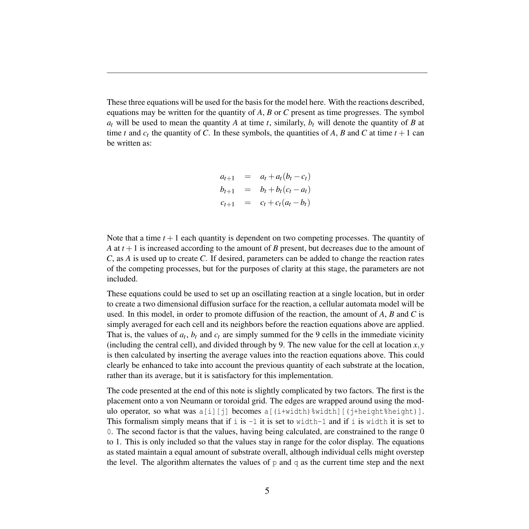These three equations will be used for the basis for the model here. With the reactions described, equations may be written for the quantity of *A*, *B* or *C* present as time progresses. The symbol  $a_t$  will be used to mean the quantity *A* at time *t*, similarly,  $b_t$  will denote the quantity of *B* at time *t* and  $c_t$  the quantity of *C*. In these symbols, the quantities of *A*, *B* and *C* at time  $t + 1$  can be written as:

$$
a_{t+1} = a_t + a_t(b_t - c_t)
$$
  
\n
$$
b_{t+1} = b_t + b_t(c_t - a_t)
$$
  
\n
$$
c_{t+1} = c_t + c_t(a_t - b_t)
$$

Note that a time  $t + 1$  each quantity is dependent on two competing processes. The quantity of *A* at  $t + 1$  is increased according to the amount of *B* present, but decreases due to the amount of *C*, as *A* is used up to create *C*. If desired, parameters can be added to change the reaction rates of the competing processes, but for the purposes of clarity at this stage, the parameters are not included.

These equations could be used to set up an oscillating reaction at a single location, but in order to create a two dimensional diffusion surface for the reaction, a cellular automata model will be used. In this model, in order to promote diffusion of the reaction, the amount of *A*, *B* and *C* is simply averaged for each cell and its neighbors before the reaction equations above are applied. That is, the values of  $a_t$ ,  $b_t$  and  $c_t$  are simply summed for the 9 cells in the immediate vicinity (including the central cell), and divided through by 9. The new value for the cell at location  $x, y$ is then calculated by inserting the average values into the reaction equations above. This could clearly be enhanced to take into account the previous quantity of each substrate at the location, rather than its average, but it is satisfactory for this implementation.

The code presented at the end of this note is slightly complicated by two factors. The first is the placement onto a von Neumann or toroidal grid. The edges are wrapped around using the modulo operator, so what was  $a[i][j]$  becomes  $a[(i+width)\frac{8width}{j}[(i+height\frac{8height}{j}].$ This formalism simply means that if i is  $-1$  it is set to width-1 and if i is width it is set to 0. The second factor is that the values, having being calculated, are constrained to the range 0 to 1. This is only included so that the values stay in range for the color display. The equations as stated maintain a equal amount of substrate overall, although individual cells might overstep the level. The algorithm alternates the values of  $p$  and  $q$  as the current time step and the next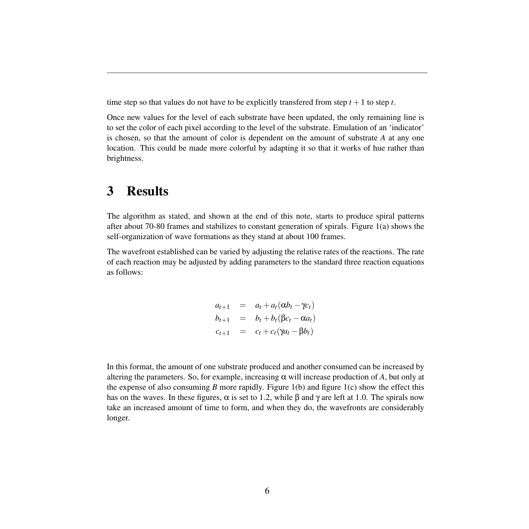time step so that values do not have to be explicitly transferred from step  $t + 1$  to step  $t$ .

Once new values for the level of each substrate have been updated, the only remaining line is to set the color of each pixel according to the level of the substrate. Emulation of an 'indicator' is chosen, so that the amount of color is dependent on the amount of substrate *A* at any one location. This could be made more colorful by adapting it so that it works of hue rather than brightness.

### 3 Results

The algorithm as stated, and shown at the end of this note, starts to produce spiral patterns after about 70-80 frames and stabilizes to constant generation of spirals. Figure 1(a) shows the self-organization of wave formations as they stand at about 100 frames.

The wavefront established can be varied by adjusting the relative rates of the reactions. The rate of each reaction may be adjusted by adding parameters to the standard three reaction equations as follows:

$$
a_{t+1} = a_t + a_t (\alpha b_t - \gamma c_t)
$$
  
\n
$$
b_{t+1} = b_t + b_t (\beta c_t - \alpha a_t)
$$
  
\n
$$
c_{t+1} = c_t + c_t (\gamma a_t - \beta b_t)
$$

In this format, the amount of one substrate produced and another consumed can be increased by altering the parameters. So, for example, increasing  $\alpha$  will increase production of  $A$ , but only at the expense of also consuming *B* more rapidly. Figure 1(b) and figure 1(c) show the effect this has on the waves. In these figures,  $\alpha$  is set to 1.2, while  $\beta$  and  $\gamma$  are left at 1.0. The spirals now take an increased amount of time to form, and when they do, the wavefronts are considerably longer.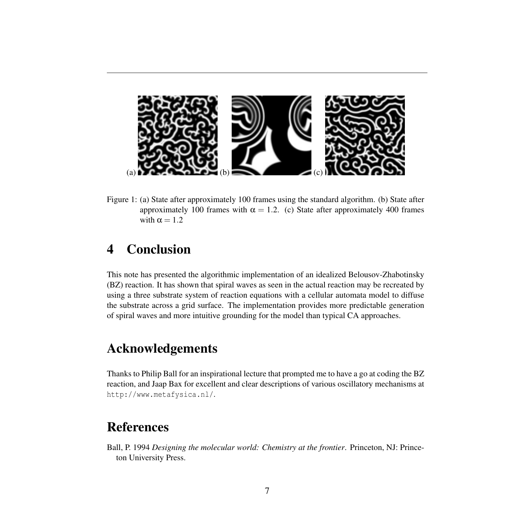

Figure 1: (a) State after approximately 100 frames using the standard algorithm. (b) State after approximately 100 frames with  $\alpha = 1.2$ . (c) State after approximately 400 frames with  $\alpha = 1.2$ 

# 4 Conclusion

This note has presented the algorithmic implementation of an idealized Belousov-Zhabotinsky (BZ) reaction. It has shown that spiral waves as seen in the actual reaction may be recreated by using a three substrate system of reaction equations with a cellular automata model to diffuse the substrate across a grid surface. The implementation provides more predictable generation of spiral waves and more intuitive grounding for the model than typical CA approaches.

# Acknowledgements

Thanks to Philip Ball for an inspirational lecture that prompted me to have a go at coding the BZ reaction, and Jaap Bax for excellent and clear descriptions of various oscillatory mechanisms at <http://www.metafysica.nl/>.

# References

<span id="page-6-0"></span>Ball, P. 1994 *Designing the molecular world: Chemistry at the frontier*. Princeton, NJ: Princeton University Press.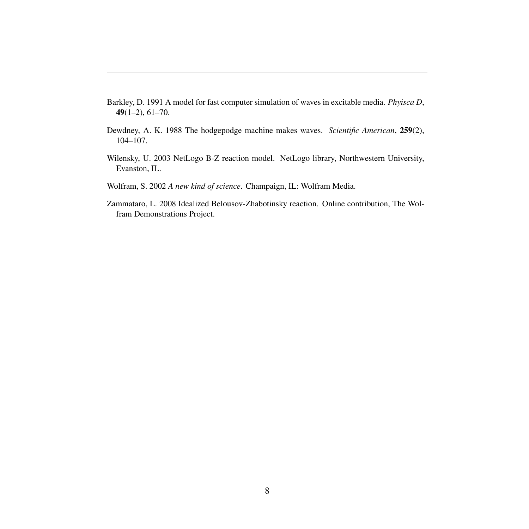- <span id="page-7-4"></span>Barkley, D. 1991 A model for fast computer simulation of waves in excitable media. *Phyisca D*, 49(1–2), 61–70.
- <span id="page-7-0"></span>Dewdney, A. K. 1988 The hodgepodge machine makes waves. *Scientific American*, 259(2), 104–107.
- <span id="page-7-1"></span>Wilensky, U. 2003 NetLogo B-Z reaction model. NetLogo library, Northwestern University, Evanston, IL.
- <span id="page-7-3"></span>Wolfram, S. 2002 *A new kind of science*. Champaign, IL: Wolfram Media.
- <span id="page-7-2"></span>Zammataro, L. 2008 Idealized Belousov-Zhabotinsky reaction. Online contribution, The Wolfram Demonstrations Project.